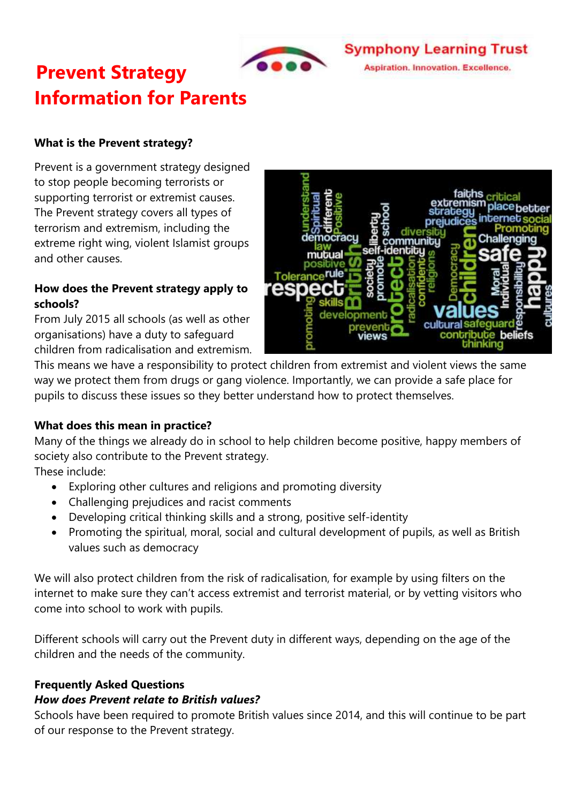

## **Symphony Learning Trust**

#### Aspiration, Innovation, Excellence.

# **Prevent Strategy Information for Parents**

#### **What is the Prevent strategy?**

Prevent is a government strategy designed to stop people becoming terrorists or supporting terrorist or extremist causes. The Prevent strategy covers all types of terrorism and extremism, including the extreme right wing, violent Islamist groups and other causes.

#### **How does the Prevent strategy apply to schools?**

From July 2015 all schools (as well as other organisations) have a duty to safeguard children from radicalisation and extremism.



This means we have a responsibility to protect children from extremist and violent views the same way we protect them from drugs or gang violence. Importantly, we can provide a safe place for pupils to discuss these issues so they better understand how to protect themselves.

#### **What does this mean in practice?**

Many of the things we already do in school to help children become positive, happy members of society also contribute to the Prevent strategy.

These include:

- Exploring other cultures and religions and promoting diversity
- Challenging prejudices and racist comments
- Developing critical thinking skills and a strong, positive self-identity
- Promoting the spiritual, moral, social and cultural development of pupils, as well as British values such as democracy

We will also protect children from the risk of radicalisation, for example by using filters on the internet to make sure they can't access extremist and terrorist material, or by vetting visitors who come into school to work with pupils.

Different schools will carry out the Prevent duty in different ways, depending on the age of the children and the needs of the community.

### **Frequently Asked Questions**

### *How does Prevent relate to British values?*

Schools have been required to promote British values since 2014, and this will continue to be part of our response to the Prevent strategy.